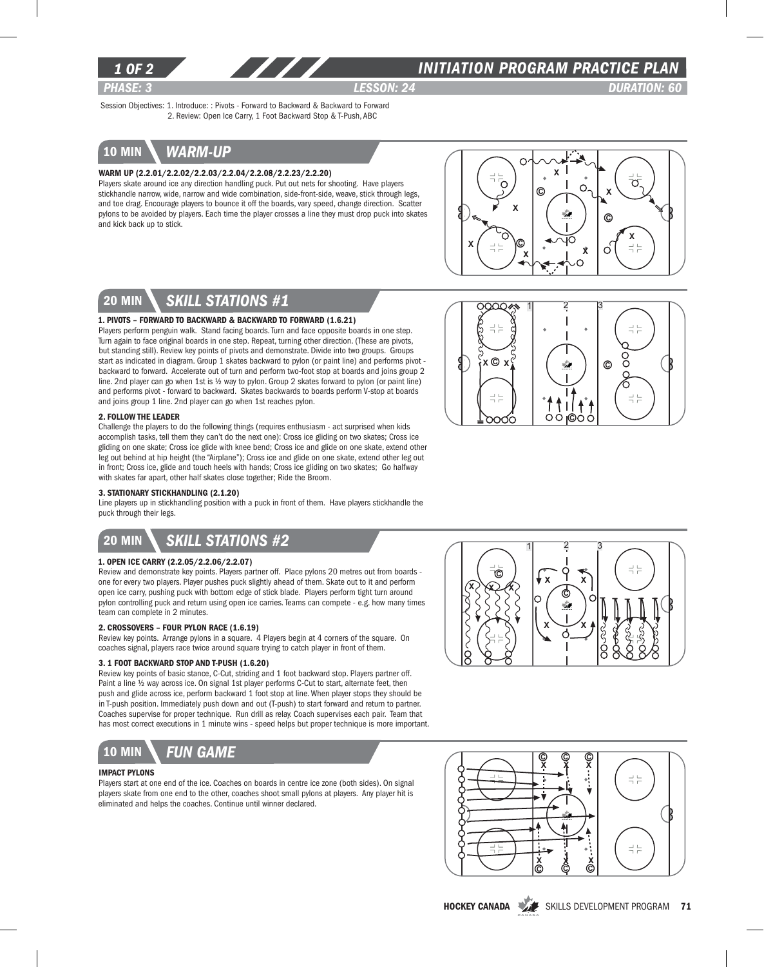

# *INITIATION program PRACTICE PLAN*

*PHASE: 3 lesson: 24 DURATION: 60* 

Session Objectives: 1. Introduce: : Pivots - Forward to Backward & Backward to Forward 2. Review: Open Ice Carry, 1 Foot Backward Stop & T-Push, ABC

# 10 min *warm-up*

### Warm Up (2.2.01/2.2.02/2.2.03/2.2.04/2.2.08/2.2.23/2.2.20)

Players skate around ice any direction handling puck. Put out nets for shooting. Have players stickhandle narrow, wide, narrow and wide combination, side-front-side, weave, stick through legs, and toe drag. Encourage players to bounce it off the boards, vary speed, change direction. Scatter pylons to be avoided by players. Each time the player crosses a line they must drop puck into skates and kick back up to stick.



 $\frac{1}{2}$   $\frac{3}{2}$ 

x ©

로는

≓ :

# 20 min *skill stations #1*

### 1. Pivots – Forward to Backward & Backward to Forward (1.6.21)

Players perform penguin walk. Stand facing boards. Turn and face opposite boards in one step. Turn again to face original boards in one step. Repeat, turning other direction. (These are pivots, but standing still). Review key points of pivots and demonstrate. Divide into two groups. Groups start as indicated in diagram. Group 1 skates backward to pylon (or paint line) and performs pivot backward to forward. Accelerate out of turn and perform two-foot stop at boards and joins group 2 line. 2nd player can go when 1st is ½ way to pylon. Group 2 skates forward to pylon (or paint line) and performs pivot - forward to backward. Skates backwards to boards perform V-stop at boards and joins group 1 line. 2nd player can go when 1st reaches pylon.

### 2. Follow the Leader

Challenge the players to do the following things (requires enthusiasm - act surprised when kids accomplish tasks, tell them they can't do the next one): Cross ice gliding on two skates; Cross ice gliding on one skate; Cross ice glide with knee bend; Cross ice and glide on one skate, extend other leg out behind at hip height (the "Airplane"); Cross ice and glide on one skate, extend other leg out in front; Cross ice, glide and touch heels with hands; Cross ice gliding on two skates; Go halfway with skates far apart, other half skates close together; Ride the Broom.

### 3. Stationary Stickhandling (2.1.20)

Line players up in stickhandling position with a puck in front of them. Have players stickhandle the puck through their legs.

# 20 min *Skill stations #2*

## 1. Open Ice Carry (2.2.05/2.2.06/2.2.07)

Review and demonstrate key points. Players partner off. Place pylons 20 metres out from boards one for every two players. Player pushes puck slightly ahead of them. Skate out to it and perform open ice carry, pushing puck with bottom edge of stick blade. Players perform tight turn around pylon controlling puck and return using open ice carries. Teams can compete - e.g. how many times team can complete in 2 minutes.

#### 2. Crossovers – Four Pylon Race (1.6.19)

Review key points. Arrange pylons in a square. 4 Players begin at 4 corners of the square. On coaches signal, players race twice around square trying to catch player in front of them.

### 3. 1 Foot Backward Stop and T-Push (1.6.20)

Review key points of basic stance, C-Cut, striding and 1 foot backward stop. Players partner off. Paint a line ½ way across ice. On signal 1st player performs C-Cut to start, alternate feet, then push and glide across ice, perform backward 1 foot stop at line. When player stops they should be in T-push position. Immediately push down and out (T-push) to start forward and return to partner. Coaches supervise for proper technique. Run drill as relay. Coach supervises each pair. Team that has most correct executions in 1 minute wins - speed helps but proper technique is more important.



### Impact Pylons

Players start at one end of the ice. Coaches on boards in centre ice zone (both sides). On signal players skate from one end to the other, coaches shoot small pylons at players. Any player hit is eliminated and helps the coaches. Continue until winner declared.



 $O$   $O$   $O$ 

 $\odot$ 

 $\frac{1}{2}$   $\frac{1}{2}$ 

ိ